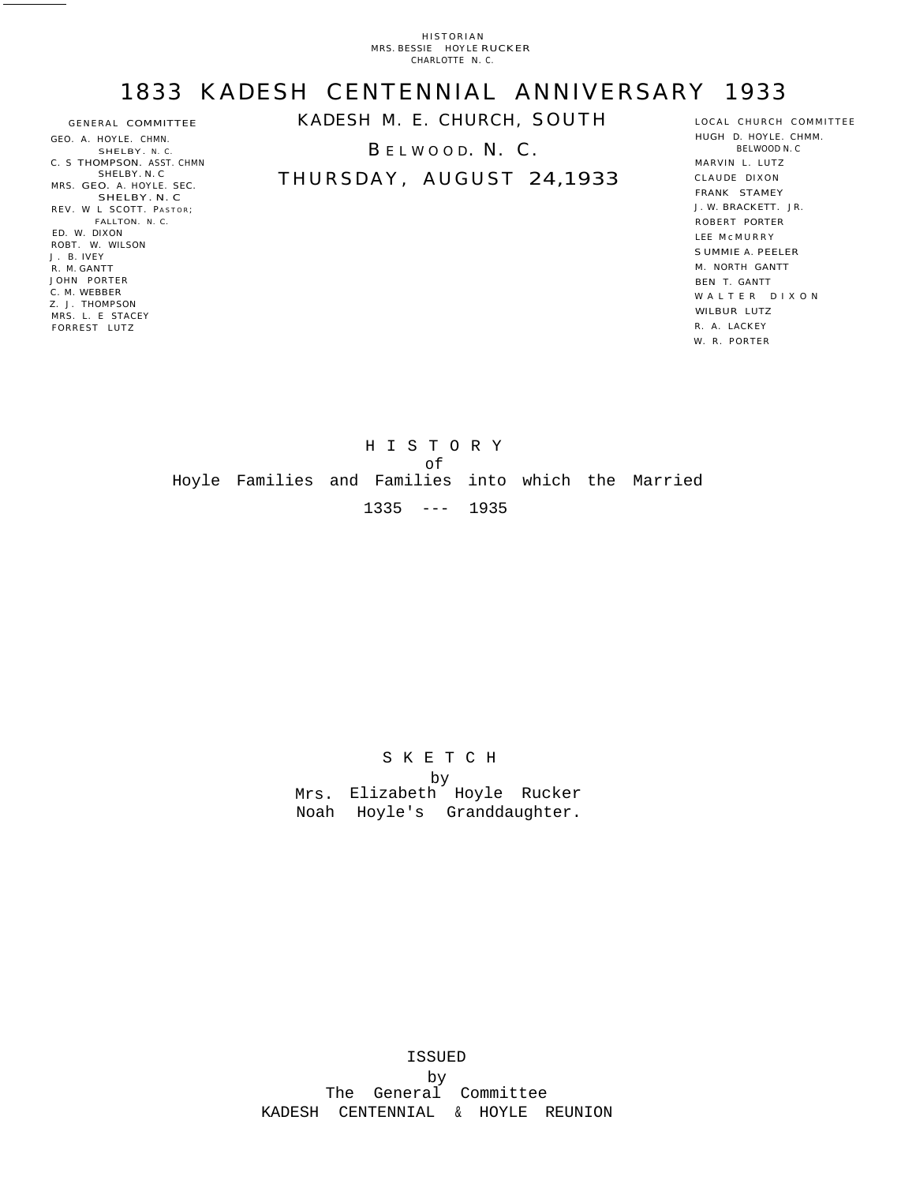## 1833 KADESH CENTENNIAL ANNIVERSARY 1933

GENERAL COMMITTEE GEO. A. HOYLE. CHMN. SHELBY. N. C. C. S THOMPSON. ASST. CHMN SHELBY. N. C MRS. GEO. A. HOYLE. SEC. SHELBY. N. C REV. W L SCOTT. PASTOR; FALLTON. N. C. ED. W. DIXON ROBT. W. WILSON J. B. IVEY R. M. GANTT JOHN PORTER C. M. WEBBER Z. J. THOMPSON MRS. L. E STACEY FORREST LUTZ

KADESH M. E. CHURCH, SOUTH BELWOOD. N. C.

THURSDAY, AUGUST 24,1933

LOCAL CHURCH COMMITTEE HUGH D. HOYLE. CHMM. BELWOOD N. C MARVIN L. LUTZ CLAUDE DIXON FRANK STAMEY J. W. BRACKETT. JR. ROBERT PORTER LEE McMURRY S UMMIE A. PEELER M. NORTH GANTT BEN T. GANTT WALTER DIXON WILBUR LUTZ R. A. LACKEY W. R. PORTER

HISTORY of Hoyle Families and Families into which the Married 1335 --- 1935

SKETCH

by

Mrs. Elizabeth Hoyle Rucker Noah Hoyle's Granddaughter.

ISSUED by The General Committee KADESH CENTENNIAL & HOYLE REUNION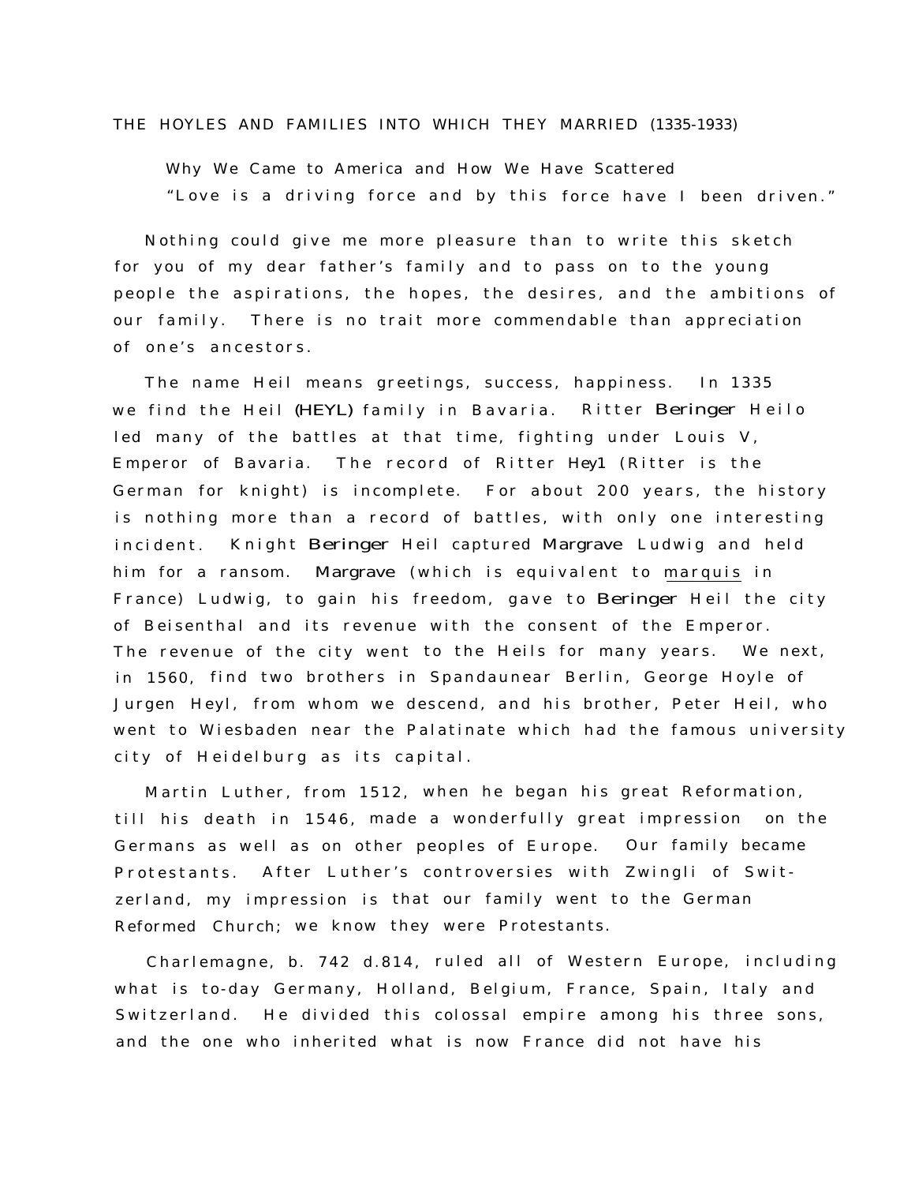## THE HOYLES AND FAMILIES INTO WHICH THEY MARRIED (1335-1933)

Why We Came to America and How We Have Scattered "Love is a driving force and by this force have I been driven."

Nothing could give me more pleasure than to write this sketch for you of my dear father's family and to pass on to the young people the aspirations, the hopes, the desires, and the ambitions of our family. There is no trait more commendable than appreciation of one's ancestors.

The name Heil means greetings, success, happiness. In 1335 we find the Heil (HEYL) family in Bavaria. Ritter Beringer Heilo led many of the battles at that time, fighting under Louis V, Emperor of Bavaria. The record of Ritter Hey1 (Ritter is the German for knight) is incomplete. For about 200 years, the history is nothing more than a record of battles, with only one interesting incident. Knight Beringer Heil captured Margrave Ludwig and held him for a ransom. Margrave (which is equivalent to marquis in France) Ludwig, to gain his freedom, gave to Beringer Heil the city of Beisenthal and its revenue with the consent of the Emperor. The revenue of the city went to the Heils for many years. We next, in 1560, find two brothers in Spandaunear Berlin, George Hoyle of Jurgen Heyl, from whom we descend, and his brother, Peter Heil, who went to Wiesbaden near the Palatinate which had the famous university city of Heidelburg as its capital.

Martin Luther, from 1512, when he began his great Reformation, till his death in 1546 , made a wonderfully great impression on the Germans as well as on other peoples of Europe. Our family became Protestants. After Luther's controversies with Zwingli of Switzerland, my impression is that our family went to the German Reformed Church; we know they were Protestants.

Charlemagne, b. 742 d.814, ruled all of Western Europe, including what is to-day Germany, Holland, Belgium, France, Spain, Italy and Switzerland. He divided this colossal empire among his three sons, and the one who inherited what is now France did not have his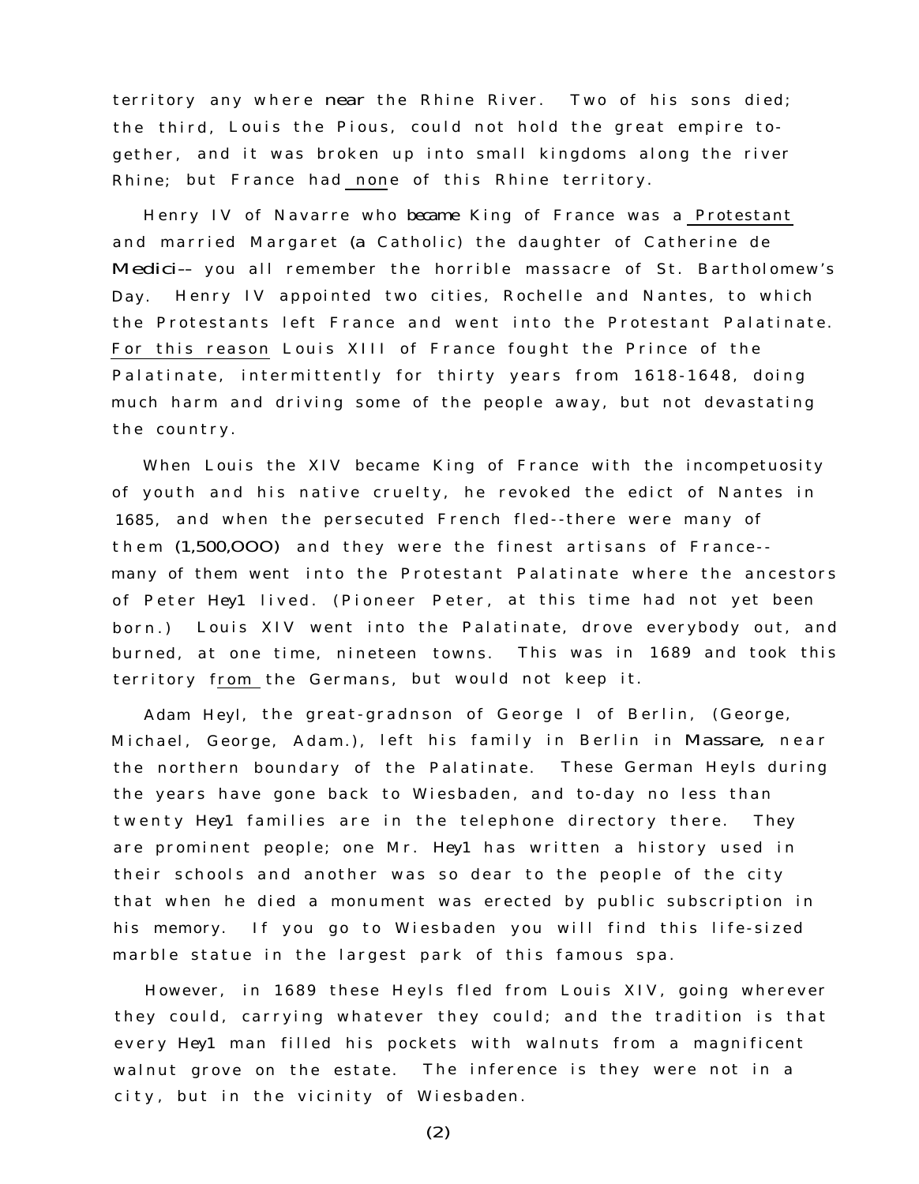territory any where near the Rhine River. Two of his sons died; the third, Louis the Pious, could not hold the great empire together, and it was broken up into small kingdoms along the river Rhine; but France had none of this Rhine territory.

Henry IV of Navarre who became King of France was a Protestant and married Margaret (a Catholic) the daughter of Catherine de Medici-- you all remember the horrible massacre of St. Bartholomew's Day. Henry IV appointed two cities, Rochelle and Nantes, to which the Protestants left France and went into the Protestant Palatinate. For this reason Louis XIII of France fought the Prince of the Palatinate, intermittently for thirty years from 1618-1648, doing much harm and driving some of the people away, but not devastating the country.

When Louis the XIV became King of France with the incompetuosity of youth and his native cruelty, he revoked the edict of Nantes in 1685, and when the persecuted French fled--there were many of the m (1,500,OOO) and they were the finest artisans of France- many of them went into the Protestant Palatinate where the ancestors of Peter Heyl lived. (Pioneer Peter, at this time had not yet been born.) Louis XIV went into the Palatinate, drove everybody out, and burned, at one time, nineteen towns. This was in 1689 and took this territory from the Germans, but would not keep it.

Adam Heyl, the great-gradnson of George I of Berlin, (George, Michael, George, Adam.), left his family in Berlin in Massare, near the northern boundary of the Palatinate. These German Heyls during the years have gone back to Wiesbaden, and to-day no less than twenty Heyl families are in the telephone directory there. They are prominent people; one Mr. Heyl has written a history used in their schools and another was so dear to the people of the city that when he died a monument was erected by public subscription in his memory. If you go to Wiesbaden you will find this life-sized marble statue in the largest park of this famous spa.

However, in 1689 these Heyls fled from Louis XIV, going wherever they could, carrying whatever they could; and the tradition is that every Hey1 man filled his pockets with walnuts from a magnificent walnut grove on the estate. The inference is they were not in a city , but in the vicinity of Wiesbaden.

(2)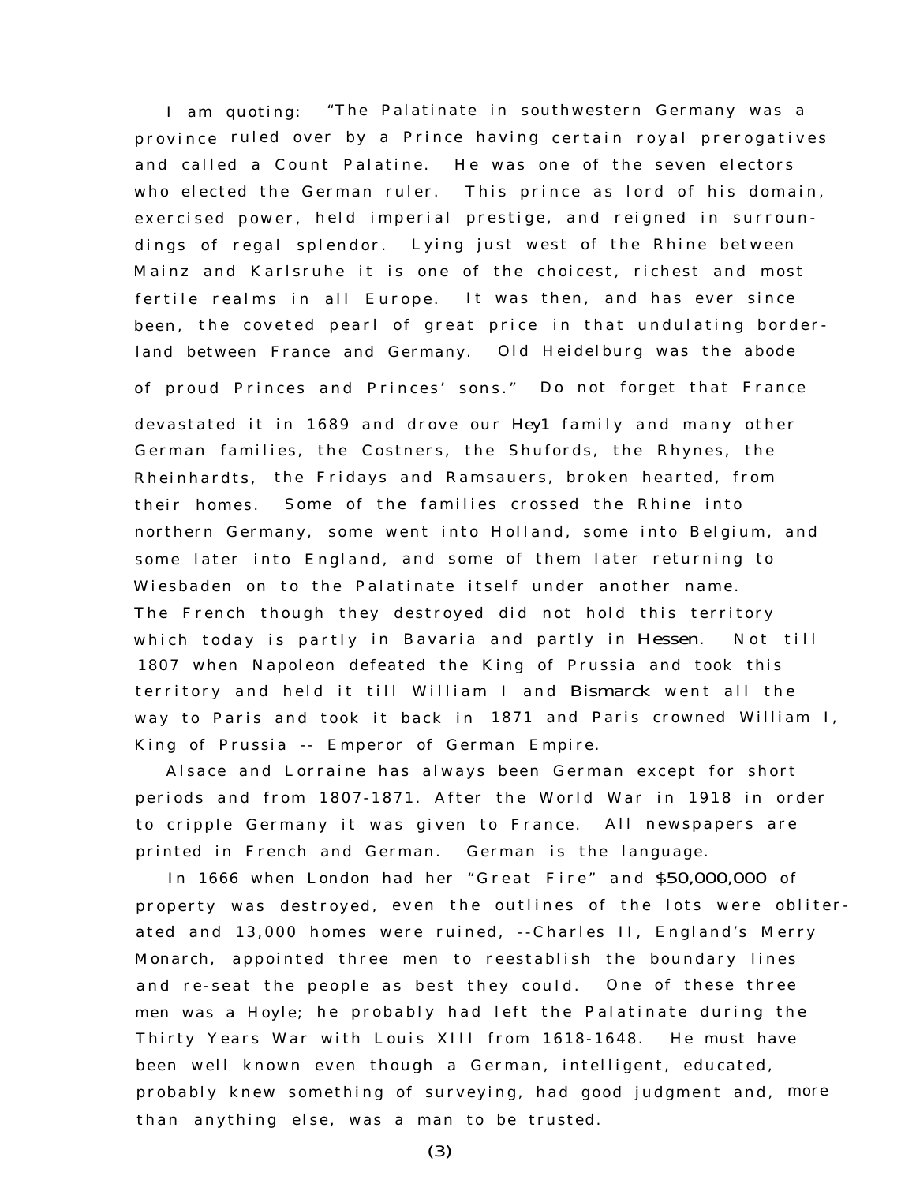I am quoting: "The Palatinate in southwestern Germany was a province ruled over by a Prince having certain royal prerogatives and called a Count Palatine. He was one of the seven electors who elected the German ruler. This prince as lord of his domain, exercised power, held imperial prestige, and reigned in surroundings of regal splendor. Lying just west of the Rhine between Mainz and Karlsruhe it is one of the choicest, richest and most fertile realms in all Europe. It was then, and has ever since been, the coveted pearl of great price in that undulating borderland between France and Germany. Old Heidelburg was the abode of proud Princes and Princes' sons." Do not forget that France devastated it in 1689 and drove our Heyl family and many other German families, the Costners, the Shufords, the Rhynes, the Rheinhardts, the Fridays and Ramsauers, broken hearted, from their homes. Some of the families crossed the Rhine into northern Germany, some went into Holland, some into Belgium, and some later into England, and some of them later returning to Wiesbaden on to the Palatinate itself under another name. The French though they destroyed did not hold this territory which today is partly in Bavaria and partly in Hessen. Not till 1807 when Napoleon defeated the King of Prussia and took this territory and held it till William I and Bismarck went all the way to Paris and took it back in 1871 and Paris crowned William I, King of Prussia -- Emperor of German Empire.

Alsace and Lorraine has always been German except for short periods and from 1807-1871. After the World War in 1918 in order to cripple Germany it was given to France. All newspapers are printed in French and German. German is the language.

In 1666 when London had her "Great Fire" and \$50,000,000 of property was destroyed, even the outlines of the lots were obliterated and 13,000 homes were ruined, --Charles II, England's Merry Monarch, appointed three men to reestablish the boundary lines and re-seat the people as best they could. One of these three men was a Hoyle; he probably had left the Palatinate during the Thirty Years War with Louis XIII from 1618-1648. He must have been well known even though a German, intelligent, educated, probably knew something of surveying, had good judgment and, more than anything else, was a man to be trusted.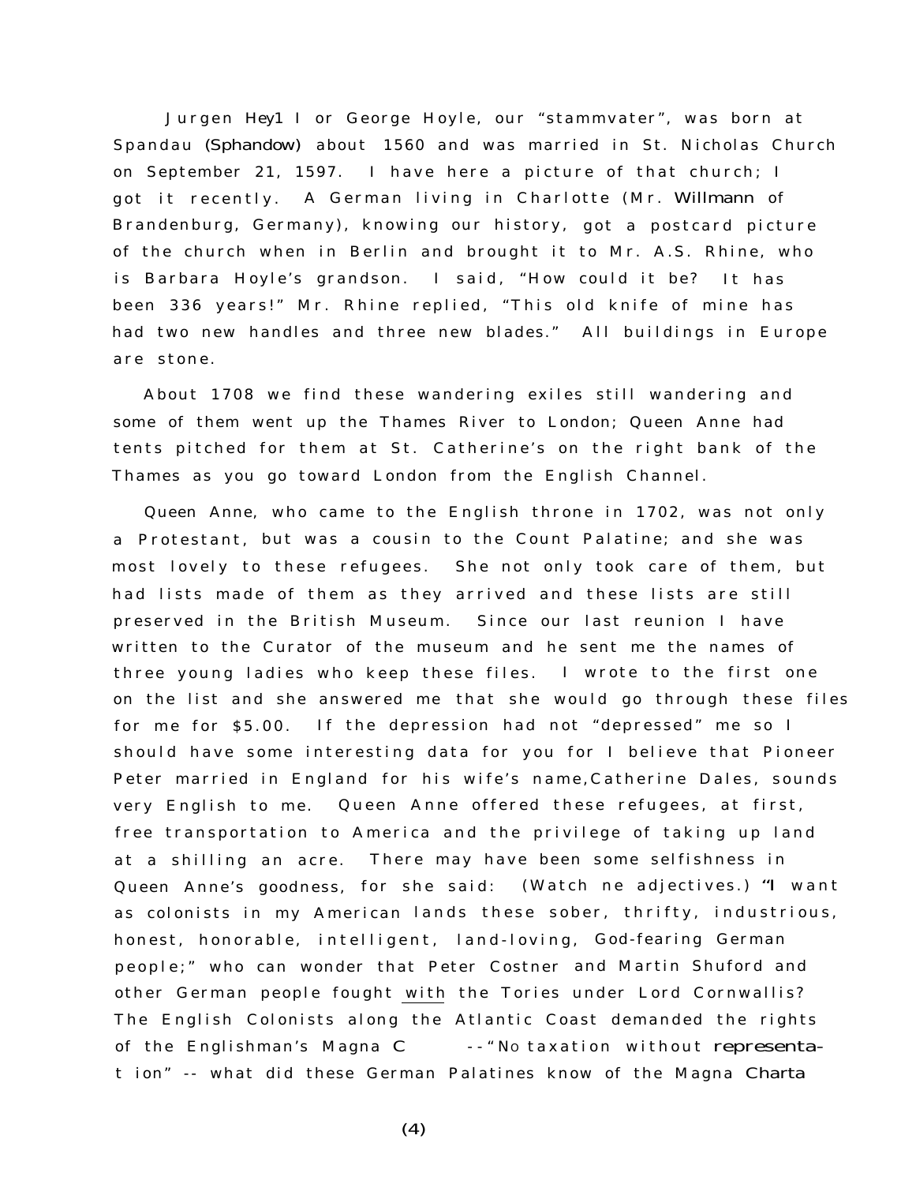Jurgen Hey1 I or George Hoyle, our "stammvater", was born at Spandau (Sphandow) about 1560 and was married in St. Nicholas Church on September 21, 1597. I have here a picture of that church; I got it recently. A German living in Charlotte (Mr . Willmann of Brandenburg, Germany), knowing our history, got a postcard picture of the church when in Berlin and brought it to Mr. A.S. Rhine, who is Barbara Hoyle's grandson. I said, "How could it be? It has been 336 years!" Mr. Rhine replied, "This old knife of mine has had two new handles and three new blades." All buildings in Europe are stone.

About 1708 we find these wandering exiles still wandering and some of them went up the Thames River to London; Queen Anne had tents pitched for them at St. Catherine's on the right bank of the Thames as you go toward London from the English Channel.

Queen Anne, who came to the English throne in 1702, was not only a Protestant, but was a cousin to the Count Palatine; and she was most lovely to these refugees. She not only took care of them, but had lists made of them as they arrived and these lists are still preserved in the British Museum. Since our last reunion I have written to the Curator of the museum and he sent me the names of three young ladies who keep these files. I wrote to the first one on the list and she answered me that she would go through these files for me for \$5.00. If the depression had not "depressed" me so I should have some interesting data for you for I believe that Pioneer Peter married in England for his wife's name, Catherine Dales, sounds very English to me. Queen Anne offered these refugees, at first, free transportation to America and the privilege of taking up land at a shilling an acre. There may have been some selfishness in Queen Anne's goodness, for she said: (Watch ne adjectives.) "I want as colonists in my American lands these sober, thrifty, industrious, honest, honorable, intelligent, land-loving, God-fearing German people;" who can wonder that Peter Costner and Martin Shuford and other German people fought with the Tories under Lord Cornwallis? The English Colonists along the Atlantic Coast demanded the rights of the Englishman's Magna C -- "No taxation without representat ion" -- what did these German Palatines know of the Magna Charta

(4)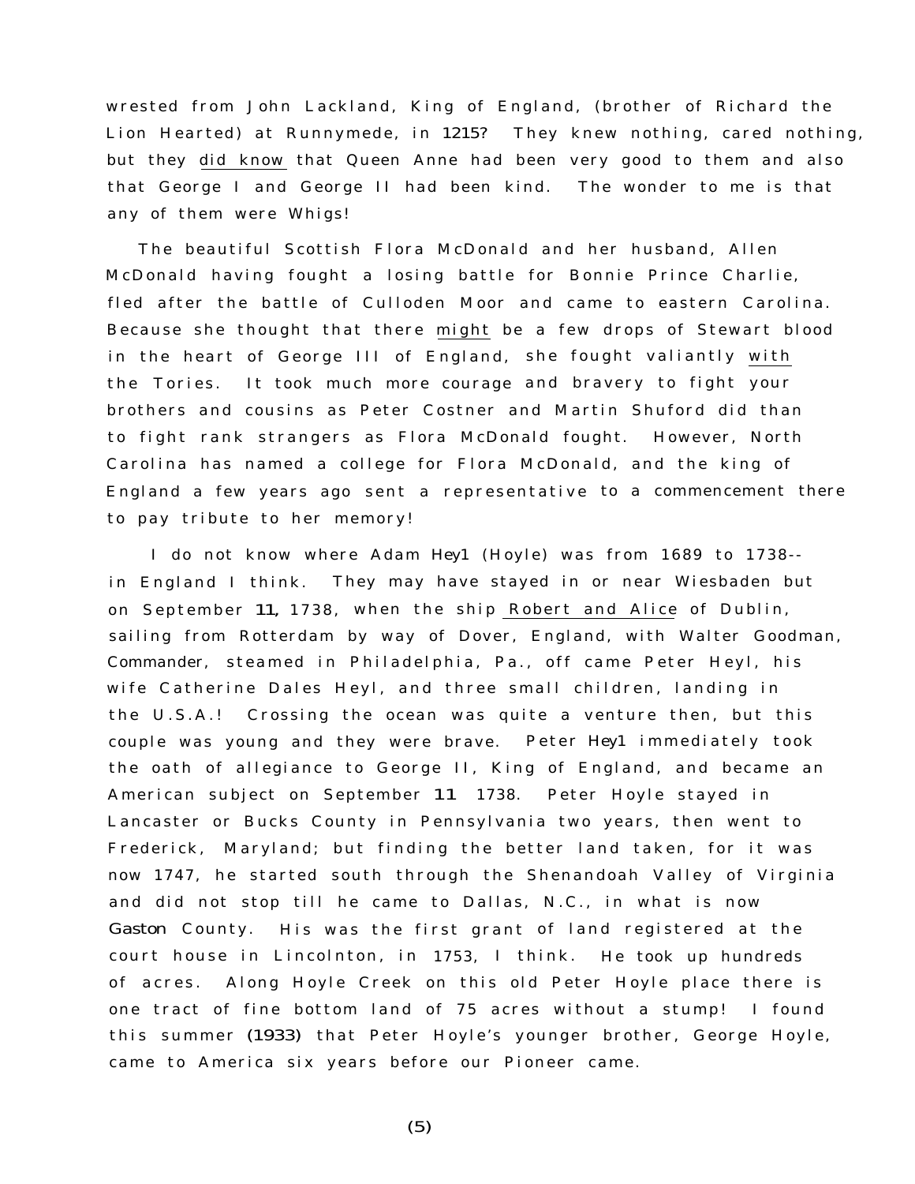wrested from John Lackland, King of England, (brother of Richard the Lion Hearted) at Runnymede, in 1215? They knew nothing, cared nothing, but they did know that Queen Anne had been very good to them and also that George I and George II had been kind. The wonder to me is that any of them were Whigs!

The beautiful Scottish Flora McDonald and her husband, Allen McDonald having fought a losing battle for Bonnie Prince Charlie, fled after the battle of Culloden Moor and came to eastern Carolina. Because she thought that there might be a few drops of Stewart blood in the heart of George III of England, she fought valiantly with the Tories. It took much more courage and bravery to fight your brothers and cousins as Peter Costner and Martin Shuford did than to fight rank strangers as Flora McDonald fought. However, North Carolina has named a college for Flora McDonald, and the king of England a few years ago sent a representative to a commencement there to pay tribute to her memory!

I do not know where Adam Hey1 (Hoyle) was from 1689 to 1738-in England I think. They may have stayed in or near Wiesbaden but on September 11, 1738, when the ship Robert and Alice of Dublin, sailing from Rotterdam by way of Dover, England, with Walter Goodman, Commander, steamed in Philadelphia, Pa., off came Peter Heyl, his wife Catherine Dales Heyl, and three small children, landing in the U.S.A.! Crossing the ocean was quite a venture then, but this couple was young and they were brave. Peter Hey1 immediately took the oath of allegiance to George II, King of England, and became an American subject on September 11 1738. Peter Hoyle stayed in Lancaster or Bucks County in Pennsylvania two years, then went to Frederick, Maryland; but finding the better land taken, for it was now 1747 , he started south through the Shenandoah Valley of Virginia and did not stop till he came to Dallas, N.C., in what is now Gaston County. His was the first grant of land registered at the court house in Lincolnton, in 1753, I think. He took up hundreds of acres. Along Hoyle Creek on this old Peter Hoyle place there is one tract of fine bottom land of 75 acres without a stump! I found this summer (1933) that Peter Hoyle's younger brother, George Hoyle, came to America six years before our Pioneer came.

(5)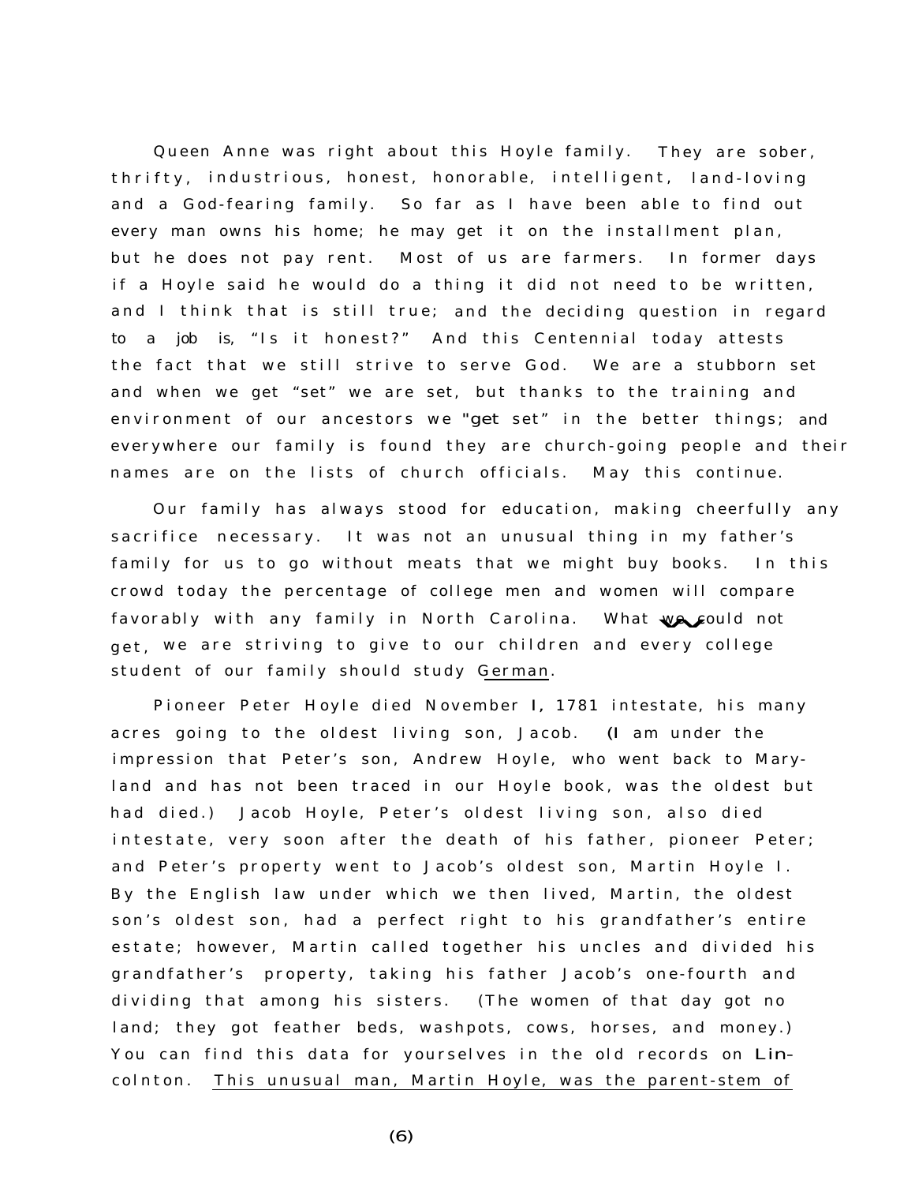Queen Anne was right about this Hoyle family. They are sober, thrifty, industrious, honest, honorable, intelligent, land-loving and a God-fearing family. So far as I have been able to find out every man owns his home; he may get it on the installment plan, but he does not pay rent. Most of us are farmers. In former days if a Hoyle said he would do a thing it did not need to be written, and I think that is still true; and the deciding question in regard to a job is, "Is it honest?" And this Centennial today attests the fact that we still strive to serve God. We are a stubborn set and when we get "set" we are set, but thanks to the training and environment of our ancestors we "get set" in the better things; and everywhere our family is found they are church-going people and their names are on the lists of church officials. May this continue.

Our family has always stood for education, making cheerfully any sacrifice necessary. It was not an unusual thing in my father's family for us to go without meats that we might buy books. In this crowd today the percentage of college men and women will compare<br>favorably with any family in North Carolina. What we could not get, we are striving to give to our children and every college student of our family should study German.

Pioneer Peter Hoyle died November I, 1781 intestate, his many acres going to the oldest living son, Jacob. (I am under the impression that Peter's son, Andrew Hoyle, who went back to Maryland and has not been traced in our Hoyle book, was the oldest but had died.) Jacob Hoyle, Peter's oldest living son, also died intestate, very soon after the death of his father, pioneer Peter; and Peter's property went to Jacob's oldest son, Martin Hoyle I. By the English law under which we then lived, Martin, the oldest son's oldest son, had a perfect right to his grandfather's entire estate; however, Martin called together his uncles and divided his grandfather's property , taking his father Jacob's one-fourth and dividing that among his sisters. (The women of that day got no land; they got feather beds, washpots, cows, horses, and money.) You can find this data for yourselves in the old records on Lincolnton. This unusual man, Martin Hoyle, was the parent-stem of

(6)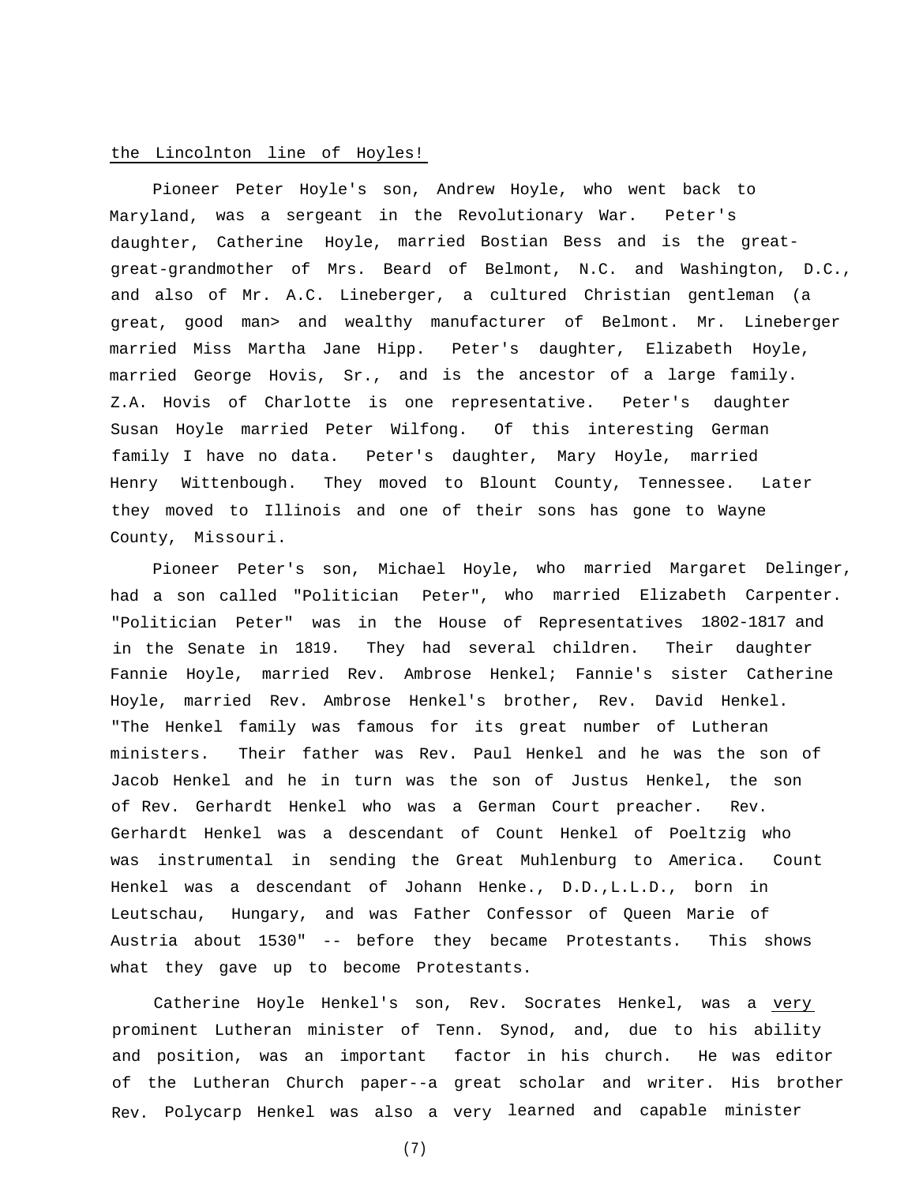## the Lincolnton line of Hoyles!

Pioneer Peter Hoyle's son, Andrew Hoyle, who went back to Maryland, was a sergeant in the Revolutionary War. Peter's daughter, Catherine Hoyle, married Bostian Bess and is the greatgreat-grandmother of Mrs. Beard of Belmont, N.C. and Washington, D.C., and also of Mr. A.C. Lineberger, a cultured Christian gentleman (a great, good man> and wealthy manufacturer of Belmont. Mr. Lineberger married Miss Martha Jane Hipp. Peter's daughter, Elizabeth Hoyle, married George Hovis, Sr., and is the ancestor of a large family. Z.A. Hovis of Charlotte is one representative. Peter's daughter Susan Hoyle married Peter Wilfong. Of this interesting German family I have no data. Peter's daughter, Mary Hoyle, married Henry Wittenbough. They moved to Blount County, Tennessee. Later they moved to Illinois and one of their sons has gone to Wayne County, Missouri.

Pioneer Peter's son, Michael Hoyle, who married Margaret Delinger, had a son called "Politician Peter", who married Elizabeth Carpenter. "Politician Peter" was in the House of Representatives 1802-1817 and in the Senate in 1819. They had several children. Their daughter Fannie Hoyle, married Rev. Ambrose Henkel; Fannie's sister Catherine Hoyle, married Rev. Ambrose Henkel's brother, Rev. David Henkel. "The Henkel family was famous for its great number of Lutheran ministers. Their father was Rev. Paul Henkel and he was the son of Jacob Henkel and he in turn was the son of Justus Henkel, the son of Rev. Gerhardt Henkel who was a German Court preacher. Rev. Gerhardt Henkel was a descendant of Count Henkel of Poeltzig who was instrumental in sending the Great Muhlenburg to America. Count Henkel was a descendant of Johann Henke., D.D.,L.L.D., born in Leutschau, Hungary, and was Father Confessor of Queen Marie of Austria about 1530" -- before they became Protestants. This shows what they gave up to become Protestants.

Catherine Hoyle Henkel's son, Rev. Socrates Henkel, was a very prominent Lutheran minister of Tenn. Synod, and, due to his ability and position, was an important factor in his church. He was editor of the Lutheran Church paper--a great scholar and writer. His brother Rev. Polycarp Henkel was also a very learned and capable minister

(7)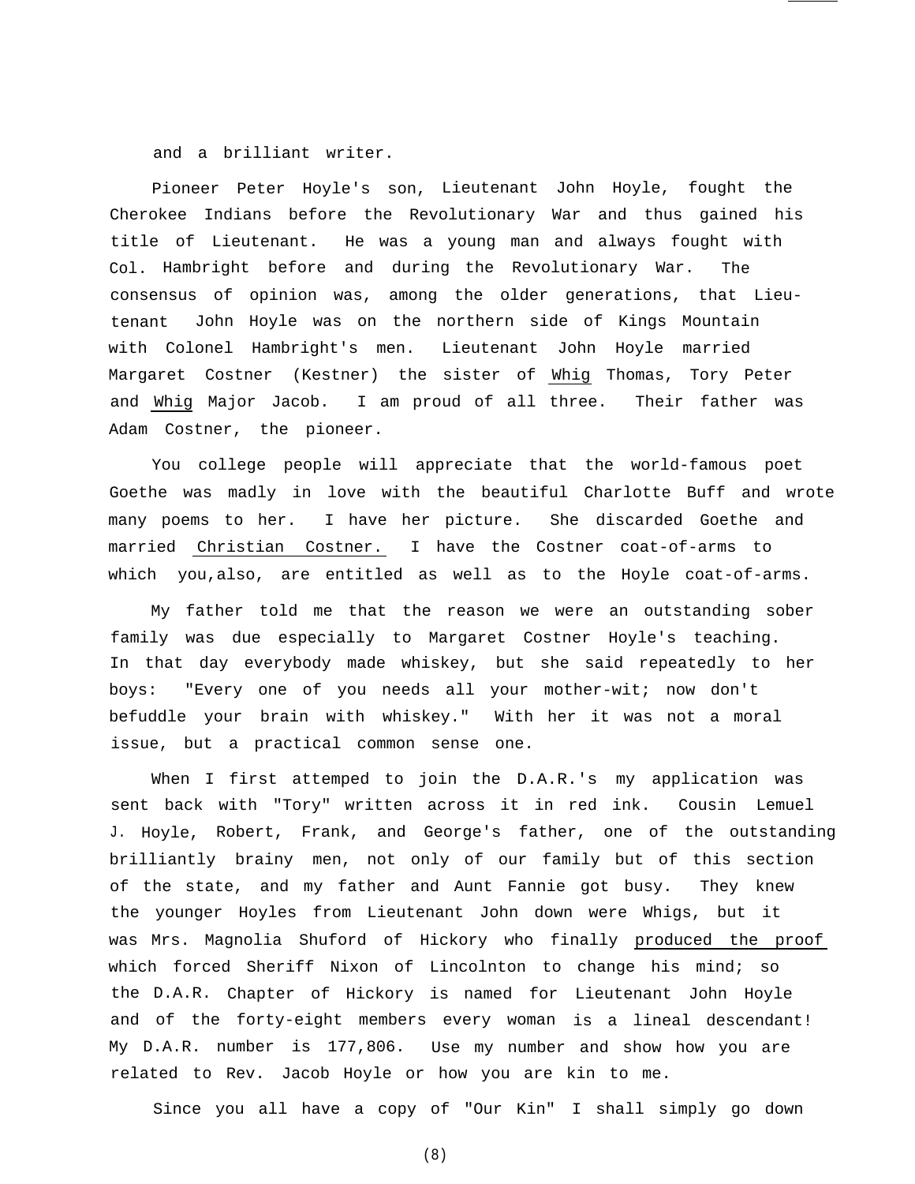and a brilliant writer.

Pioneer Peter Hoyle's son, Lieutenant John Hoyle, fought the Cherokee Indians before the Revolutionary War and thus gained his title of Lieutenant. He was a young man and always fought with Col. Hambright before and during the Revolutionary War. The consensus of opinion was, among the older generations, that Lieutenant John Hoyle was on the northern side of Kings Mountain with Colonel Hambright's men. Lieutenant John Hoyle married Margaret Costner (Kestner) the sister of Whig Thomas, Tory Peter and Whig Major Jacob. I am proud of all three. Their father was Adam Costner, the pioneer.

You college people will appreciate that the world-famous poet Goethe was madly in love with the beautiful Charlotte Buff and wrote many poems to her. I have her picture. She discarded Goethe and married Christian Costner. I have the Costner coat-of-arms to which you,also, are entitled as well as to the Hoyle coat-of-arms.

My father told me that the reason we were an outstanding sober family was due especially to Margaret Costner Hoyle's teaching. In that day everybody made whiskey, but she said repeatedly to her boys: "Every one of you needs all your mother-wit; now don't befuddle your brain with whiskey." With her it was not a moral issue, but a practical common sense one.

When I first attemped to join the D.A.R.'s my application was sent back with "Tory" written across it in red ink. Cousin Lemuel J. Hoyle, Robert, Frank, and George's father, one of the outstanding brilliantly brainy men, not only of our family but of this section of the state, and my father and Aunt Fannie got busy. They knew the younger Hoyles from Lieutenant John down were Whigs, but it was Mrs. Magnolia Shuford of Hickory who finally produced the proof which forced Sheriff Nixon of Lincolnton to change his mind; so the D.A.R. Chapter of Hickory is named for Lieutenant John Hoyle and of the forty-eight members every woman is a lineal descendant! My D.A.R. number is 177,806. Use my number and show how you are related to Rev. Jacob Hoyle or how you are kin to me.

Since you all have a copy of "Our Kin" I shall simply go down

(8)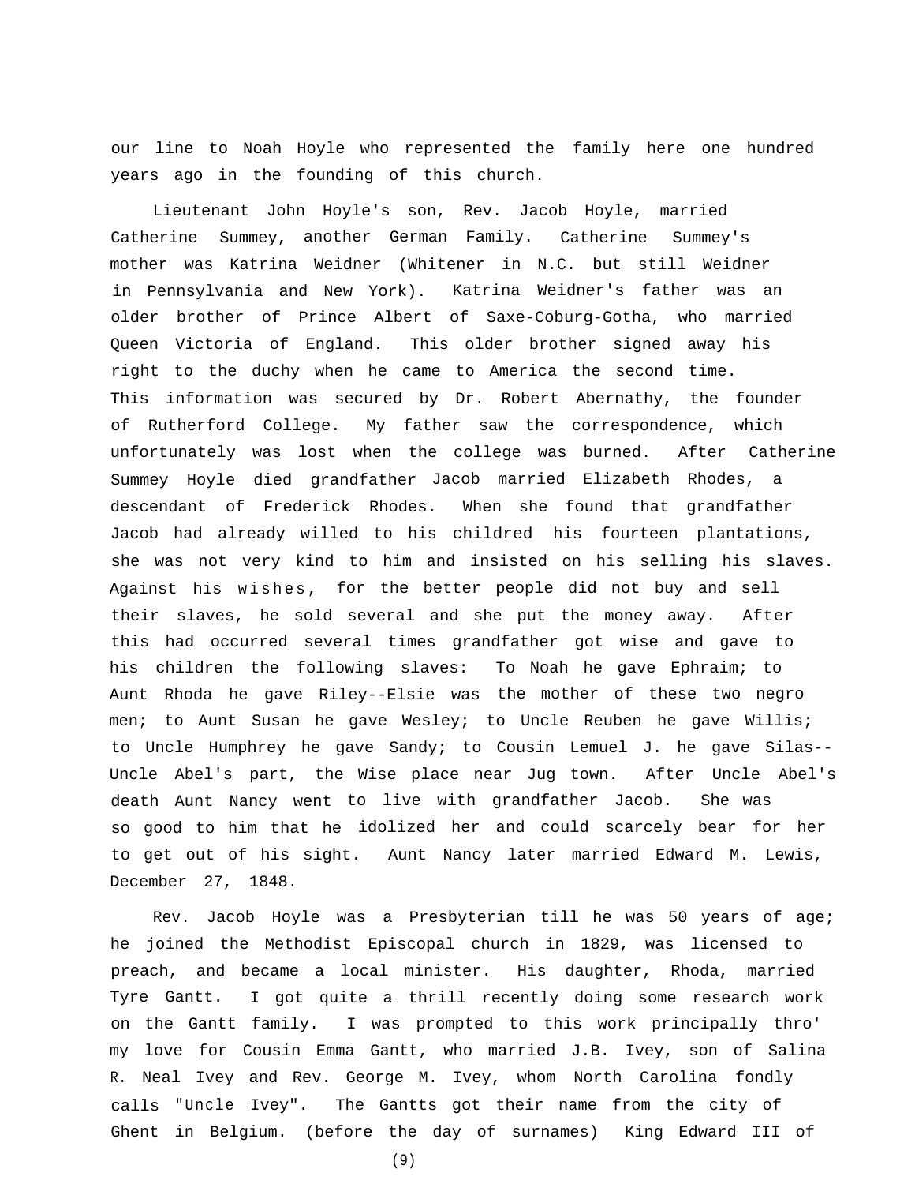our line to Noah Hoyle who represented the family here one hundred years ago in the founding of this church.

Lieutenant John Hoyle's son, Rev. Jacob Hoyle, married Catherine Summey, another German Family. Catherine Summey's mother was Katrina Weidner (Whitener in N.C. but still Weidner in Pennsylvania and New York). Katrina Weidner's father was an older brother of Prince Albert of Saxe-Coburg-Gotha, who married Queen Victoria of England. This older brother signed away his right to the duchy when he came to America the second time. This information was secured by Dr. Robert Abernathy, the founder of Rutherford College. My father saw the correspondence, which unfortunately was lost when the college was burned. After Catherine Summey Hoyle died grandfather Jacob married Elizabeth Rhodes, a descendant of Frederick Rhodes. When she found that grandfather Jacob had already willed to his childred his fourteen plantations, she was not very kind to him and insisted on his selling his slaves. Against his wishes , for the better people did not buy and sell their slaves, he sold several and she put the money away. After this had occurred several times grandfather got wise and gave to his children the following slaves: To Noah he gave Ephraim; to Aunt Rhoda he gave Riley--Elsie was the mother of these two negro men; to Aunt Susan he gave Wesley; to Uncle Reuben he gave Willis; to Uncle Humphrey he gave Sandy; to Cousin Lemuel J. he gave Silas-- Uncle Abel's part, the Wise place near Jug town. After Uncle Abel's death Aunt Nancy went to live with grandfather Jacob. She was so good to him that he idolized her and could scarcely bear for her to get out of his sight. Aunt Nancy later married Edward M. Lewis, December 27, 1848.

Rev. Jacob Hoyle was a Presbyterian till he was 50 years of age; he joined the Methodist Episcopal church in 1829, was licensed to preach, and became a local minister. His daughter, Rhoda, married Tyre Gantt. I got quite a thrill recently doing some research work on the Gantt family. I was prompted to this work principally thro' my love for Cousin Emma Gantt, who married J.B. Ivey, son of Salina R. Neal Ivey and Rev. George M. Ivey, whom North Carolina fondly calls "Uncle Ivey". The Gantts got their name from the city of Ghent in Belgium. (before the day of surnames) King Edward III of

(9)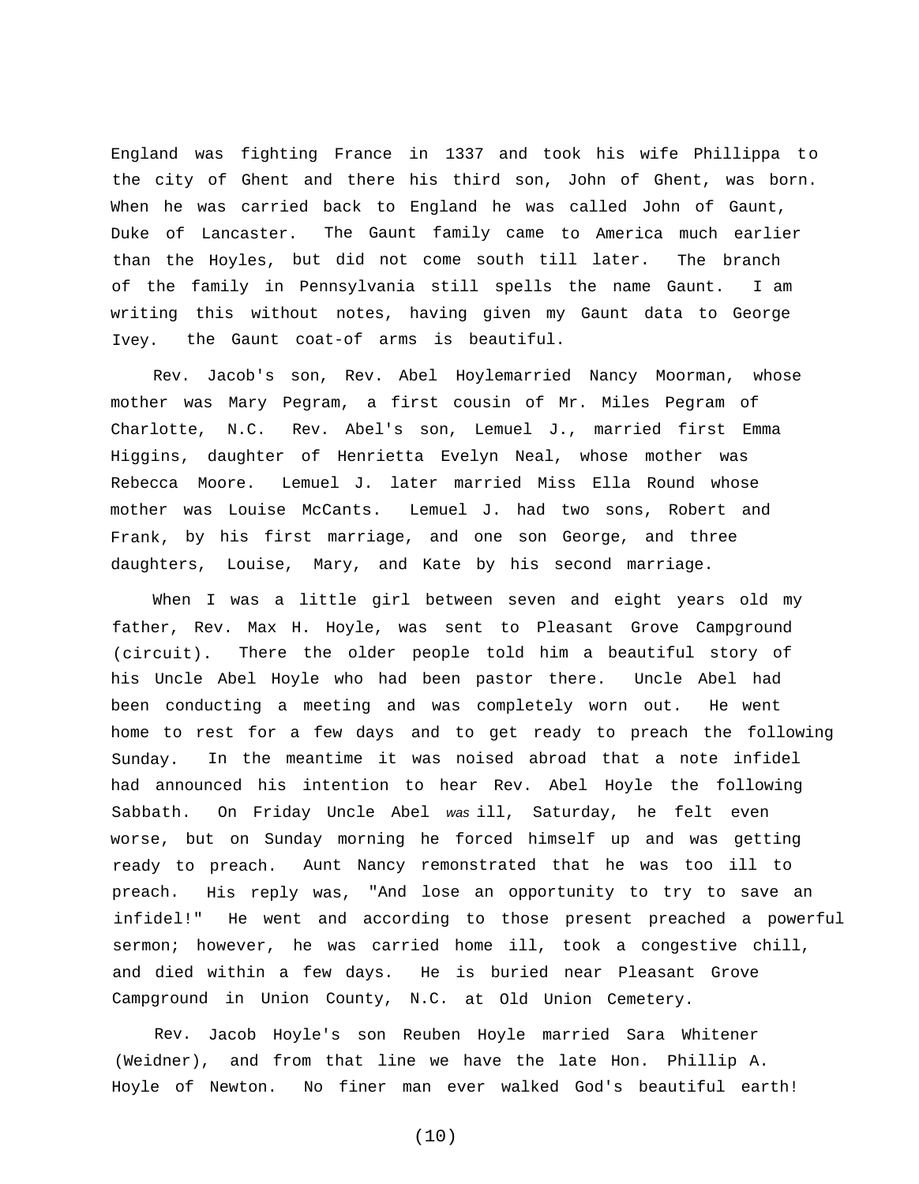England was fighting France in 1337 and took his wife Phillippa to the city of Ghent and there his third son, John of Ghent, was born. When he was carried back to England he was called John of Gaunt, Duke of Lancaster. The Gaunt family came to America much earlier than the Hoyles, but did not come south till later. The branch of the family in Pennsylvania still spells the name Gaunt. I am writing this without notes, having given my Gaunt data to George Ivey. the Gaunt coat-of arms is beautiful.

Rev. Jacob's son, Rev. Abel Hoylemarried Nancy Moorman, whose mother was Mary Pegram, a first cousin of Mr. Miles Pegram of Charlotte, N.C. Rev. Abel's son, Lemuel J., married first Emma Higgins, daughter of Henrietta Evelyn Neal, whose mother was Rebecca Moore. Lemuel J. later married Miss Ella Round whose mother was Louise McCants. Lemuel J. had two sons, Robert and Frank, by his first marriage, and one son George, and three daughters, Louise, Mary, and Kate by his second marriage.

When I was a little girl between seven and eight years old my father, Rev. Max H. Hoyle, was sent to Pleasant Grove Campground (circuit). There the older people told him a beautiful story of his Uncle Abel Hoyle who had been pastor there. Uncle Abel had been conducting a meeting and was completely worn out. He went home to rest for a few days and to get ready to preach the following Sunday. In the meantime it was noised abroad that a note infidel had announced his intention to hear Rev. Abel Hoyle the following Sabbath. On Friday Uncle Abel *was* ill, Saturday, he felt even worse, but on Sunday morning he forced himself up and was getting ready to preach. Aunt Nancy remonstrated that he was too ill to preach. His reply was, "And lose an opportunity to try to save an infidel!" He went and according to those present preached a powerful sermon; however, he was carried home ill, took a congestive chill, and died within a few days. He is buried near Pleasant Grove Campground in Union County, N.C. at Old Union Cemetery.

Rev. Jacob Hoyle's son Reuben Hoyle married Sara Whitener (Weidner), and from that line we have the late Hon. Phillip A. Hoyle of Newton. No finer man ever walked God's beautiful earth!

(10)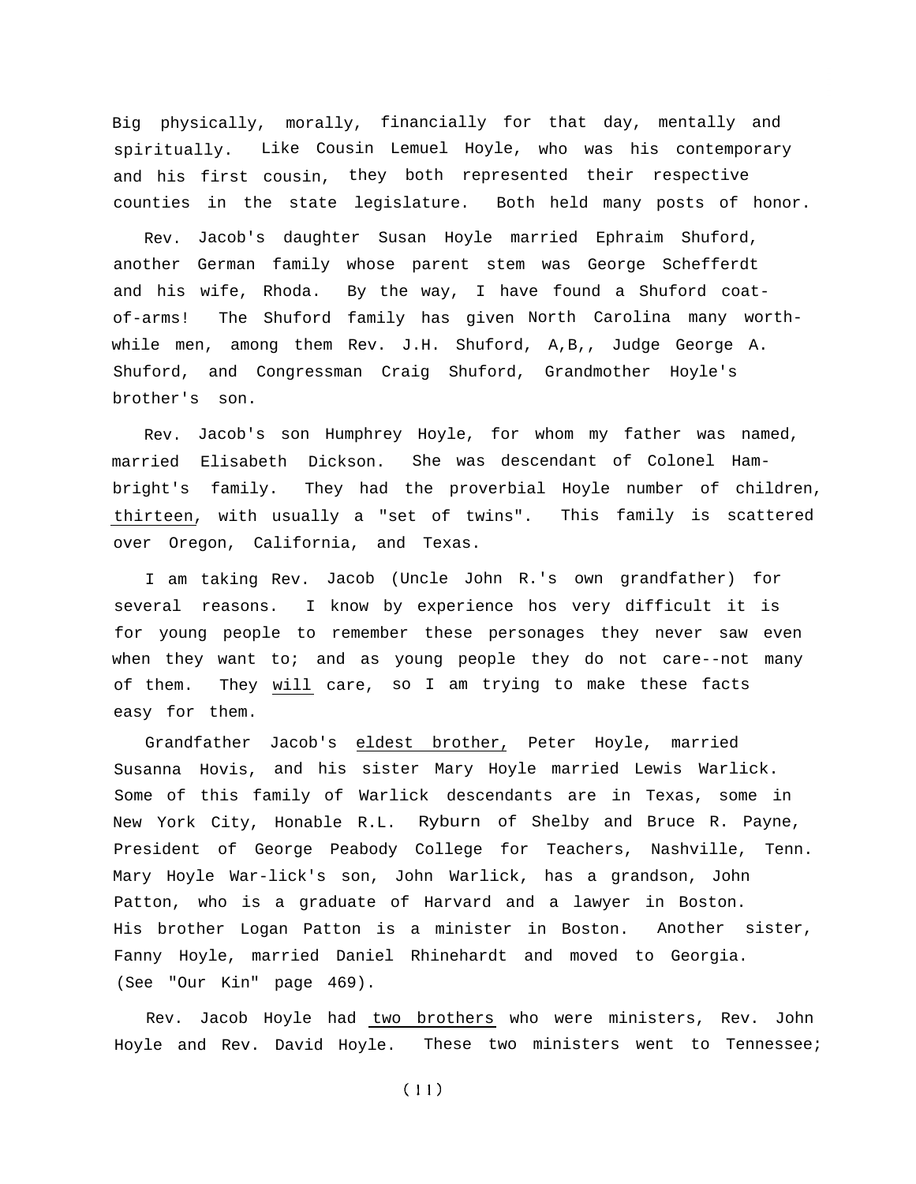Big physically, morally, financially for that day, mentally and spiritually. Like Cousin Lemuel Hoyle, who was his contemporary and his first cousin, they both represented their respective counties in the state legislature. Both held many posts of honor.

Rev. Jacob's daughter Susan Hoyle married Ephraim Shuford, another German family whose parent stem was George Schefferdt and his wife, Rhoda. By the way, I have found a Shuford coatof-arms! The Shuford family has given North Carolina many worthwhile men, among them Rev. J.H. Shuford, A,B,, Judge George A. Shuford, and Congressman Craig Shuford, Grandmother Hoyle's brother's son.

Rev. Jacob's son Humphrey Hoyle, for whom my father was named, married Elisabeth Dickson. She was descendant of Colonel Hambright's family. They had the proverbial Hoyle number of children, thirteen, with usually a "set of twins". This family is scattered over Oregon, California, and Texas.

I am taking Rev. Jacob (Uncle John R.'s own grandfather) for several reasons. I know by experience hos very difficult it is for young people to remember these personages they never saw even when they want to; and as young people they do not care--not many of them. They will care, so I am trying to make these facts easy for them.

Grandfather Jacob's eldest brother, Peter Hoyle, married Susanna Hovis, and his sister Mary Hoyle married Lewis Warlick. Some of this family of Warlick descendants are in Texas, some in New York City, Honable R.L. Ryburn of Shelby and Bruce R. Payne, President of George Peabody College for Teachers, Nashville, Tenn. Mary Hoyle War-lick's son, John Warlick, has a grandson, John Patton, who is a graduate of Harvard and a lawyer in Boston. His brother Logan Patton is a minister in Boston. Another sister, Fanny Hoyle, married Daniel Rhinehardt and moved to Georgia. (See "Our Kin" page 469).

Rev. Jacob Hoyle had two brothers who were ministers, Rev. John Hoyle and Rev. David Hoyle. These two ministers went to Tennessee;

 $(11)$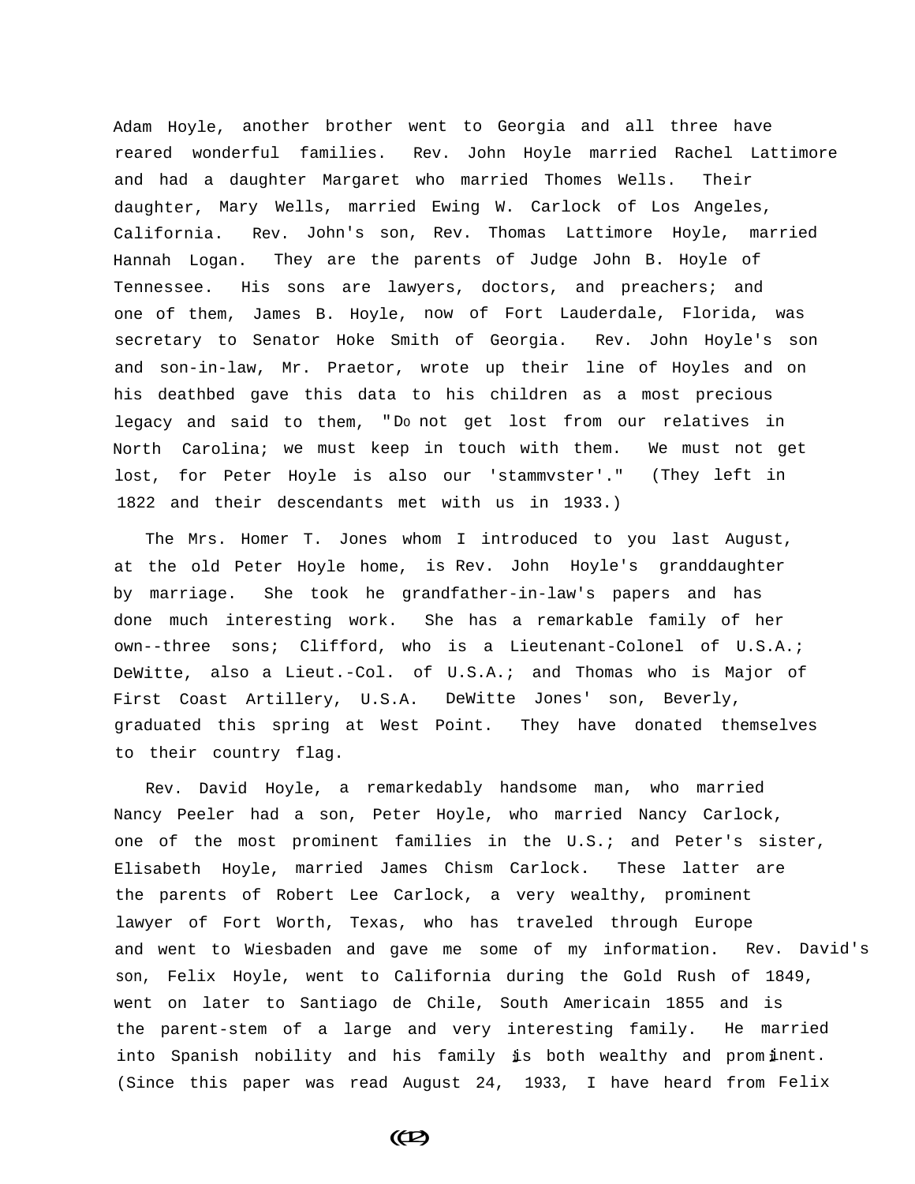Adam Hoyle, another brother went to Georgia and all three have reared wonderful families. Rev. John Hoyle married Rachel Lattimore and had a daughter Margaret who married Thomes Wells. Their daughter, Mary Wells, married Ewing W. Carlock of Los Angeles, California. Rev. John's son, Rev. Thomas Lattimore Hoyle, married Hannah Logan. They are the parents of Judge John B. Hoyle of Tennessee. His sons are lawyers, doctors, and preachers; and one of them, James B. Hoyle, now of Fort Lauderdale, Florida, was secretary to Senator Hoke Smith of Georgia. Rev. John Hoyle's son and son-in-law, Mr. Praetor, wrote up their line of Hoyles and on his deathbed gave this data to his children as a most precious legacy and said to them, "Do not get lost from our relatives in North Carolina; we must keep in touch with them. We must not get lost, for Peter Hoyle is also our 'stammvster'." (They left in 1822 and their descendants met with us in 1933.)

The Mrs. Homer T. Jones whom I introduced to you last August, at the old Peter Hoyle home, is Rev. John Hoyle's granddaughter by marriage. She took he grandfather-in-law's papers and has done much interesting work. She has a remarkable family of her own--three sons; Clifford, who is a Lieutenant-Colonel of U.S.A.; DeWitte, also a Lieut.-Col. of U.S.A.; and Thomas who is Major of First Coast Artillery, U.S.A. DeWitte Jones' son, Beverly, graduated this spring at West Point. They have donated themselves to their country flag.

Rev. David Hoyle, a remarkedably handsome man, who married Nancy Peeler had a son, Peter Hoyle, who married Nancy Carlock, one of the most prominent families in the U.S.; and Peter's sister, Elisabeth Hoyle, married James Chism Carlock. These latter are the parents of Robert Lee Carlock, a very wealthy, prominent lawyer of Fort Worth, Texas, who has traveled through Europe and went to Wiesbaden and gave me some of my information. Rev. David's son, Felix Hoyle, went to California during the Gold Rush of 1849, went on later to Santiago de Chile, South Americain 1855 and is the parent-stem of a large and very interesting family. He married into Spanish nobility and his family is both wealthy and prominent. (Since this paper was read August 24, 1933, I have heard from Felix

 $(C2)$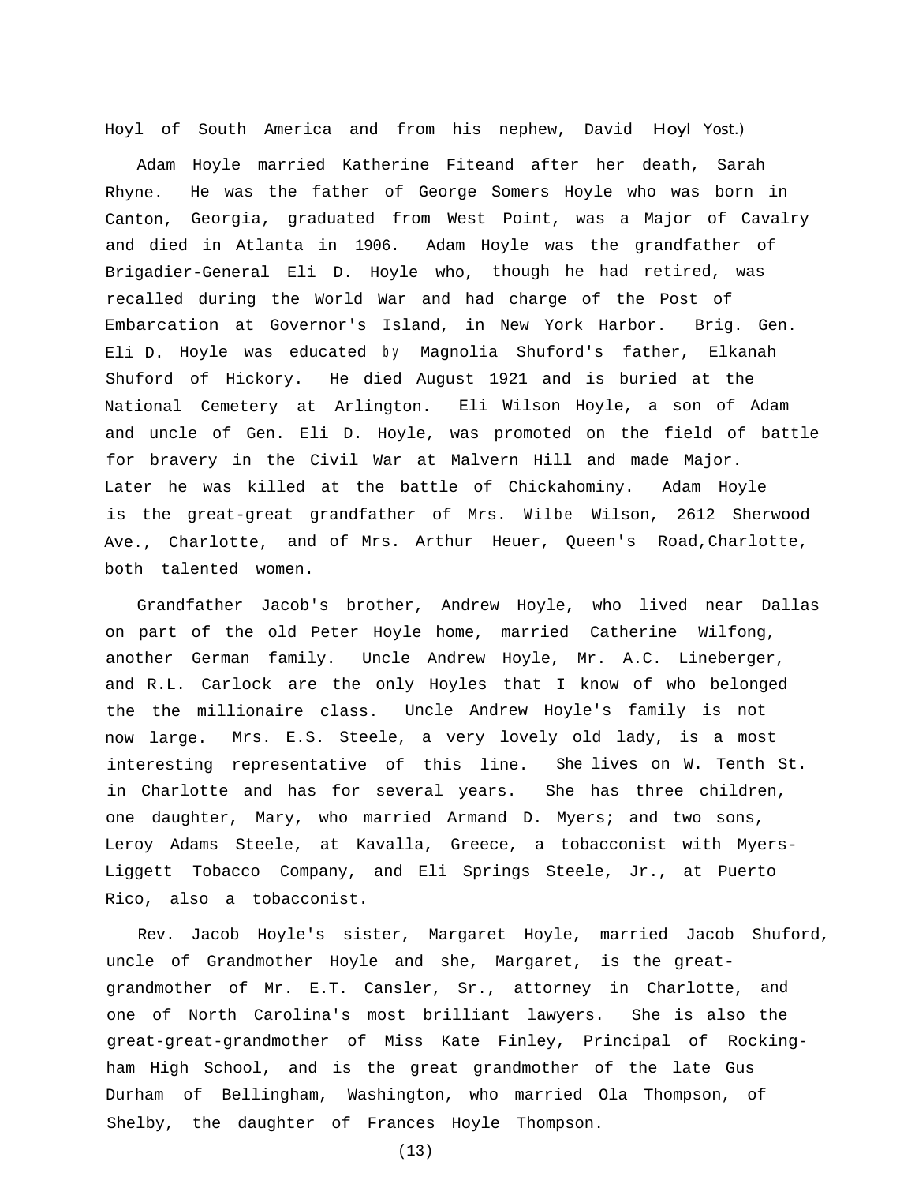Hoyl of South America and from his nephew, David Hoyl Yost.)

Adam Hoyle married Katherine Fiteand after her death, Sarah Rhyne. He was the father of George Somers Hoyle who was born in Canton, Georgia, graduated from West Point, was a Major of Cavalry and died in Atlanta in 1906. Adam Hoyle was the grandfather of Brigadier-General Eli D. Hoyle who, though he had retired, was recalled during the World War and had charge of the Post of Embarcation at Governor's Island, in New York Harbor. Brig. Gen. Eli D. Hoyle was educated by Magnolia Shuford's father, Elkanah Shuford of Hickory. He died August 1921 and is buried at the National Cemetery at Arlington. Eli Wilson Hoyle, a son of Adam and uncle of Gen. Eli D. Hoyle, was promoted on the field of battle for bravery in the Civil War at Malvern Hill and made Major. Later he was killed at the battle of Chickahominy. Adam Hoyle is the great-great grandfather of Mrs. Wilbe Wilson, 2612 Sherwood Ave., Charlotte, and of Mrs. Arthur Heuer, Queen's Road,Charlotte, both talented women.

Grandfather Jacob's brother, Andrew Hoyle, who lived near Dallas on part of the old Peter Hoyle home, married Catherine Wilfong, another German family. Uncle Andrew Hoyle, Mr. A.C. Lineberger, and R.L. Carlock are the only Hoyles that I know of who belonged the the millionaire class. Uncle Andrew Hoyle's family is not now large. Mrs. E.S. Steele, a very lovely old lady, is a most interesting representative of this line. She lives on W. Tenth St. in Charlotte and has for several years. She has three children, one daughter, Mary, who married Armand D. Myers; and two sons, Leroy Adams Steele, at Kavalla, Greece, a tobacconist with Myers-Liggett Tobacco Company, and Eli Springs Steele, Jr., at Puerto Rico, also a tobacconist.

Rev. Jacob Hoyle's sister, Margaret Hoyle, married Jacob Shuford, uncle of Grandmother Hoyle and she, Margaret, is the greatgrandmother of Mr. E.T. Cansler, Sr., attorney in Charlotte, and one of North Carolina's most brilliant lawyers. She is also the great-great-grandmother of Miss Kate Finley, Principal of Rockingham High School, and is the great grandmother of the late Gus Durham of Bellingham, Washington, who married Ola Thompson, of Shelby, the daughter of Frances Hoyle Thompson.

(13)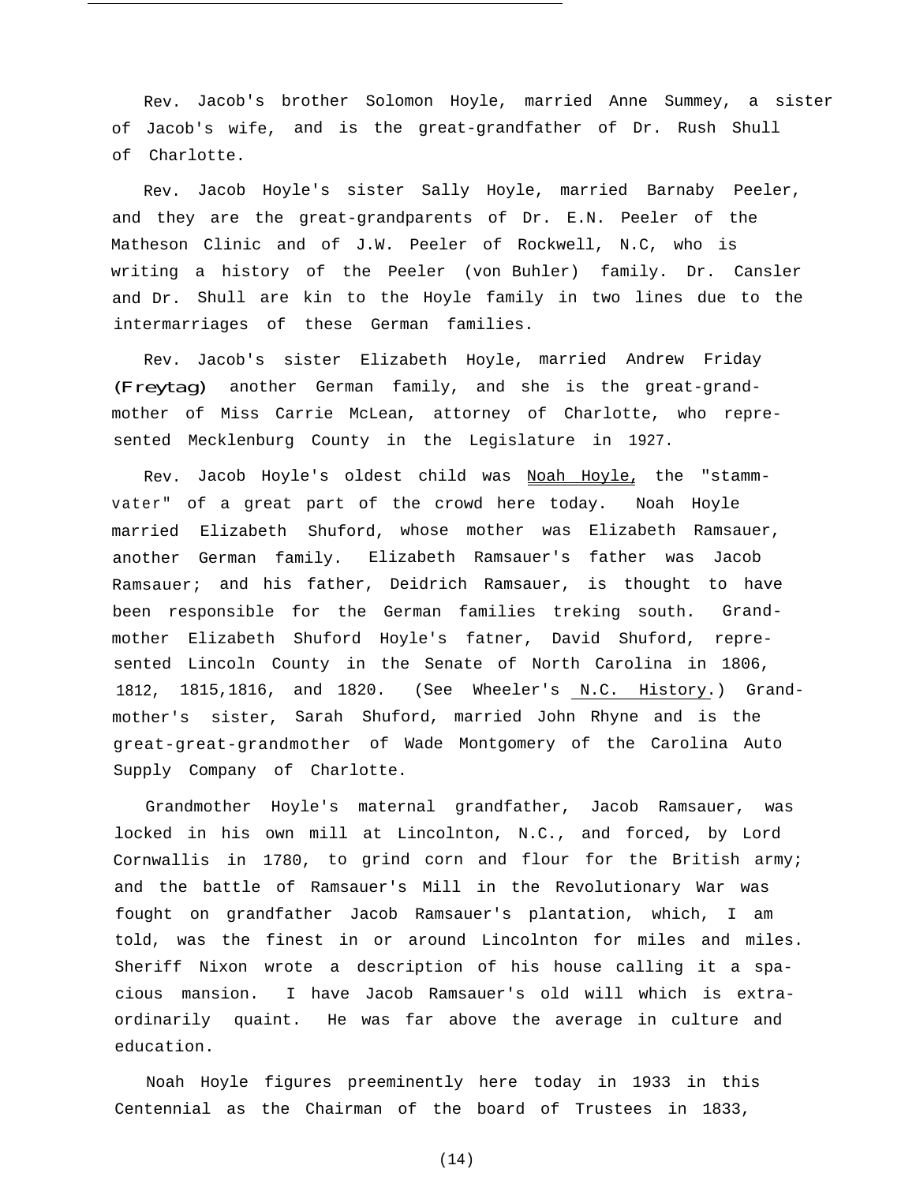Rev. Jacob's brother Solomon Hoyle, married Anne Summey, a sister of Jacob's wife, and is the great-grandfather of Dr. Rush Shull of Charlotte.

Rev. Jacob Hoyle's sister Sally Hoyle, married Barnaby Peeler, and they are the great-grandparents of Dr. E.N. Peeler of the Matheson Clinic and of J.W. Peeler of Rockwell, N.C, who is writing a history of the Peeler (von Buhler) family. Dr. Cansler and Dr. Shull are kin to the Hoyle family in two lines due to the intermarriages of these German families.

Rev. Jacob's sister Elizabeth Hoyle, married Andrew Friday (Freytag), another German family, and she is the great-grandmother of Miss Carrie McLean, attorney of Charlotte, who represented Mecklenburg County in the Legislature in 1927.

Rev. Jacob Hoyle's oldest child was Noah Hoyle, the "stammvater" of a great part of the crowd here today. Noah Hoyle married Elizabeth Shuford, whose mother was Elizabeth Ramsauer, another German family. Elizabeth Ramsauer's father was Jacob Ramsauer; and his father, Deidrich Ramsauer, is thought to have been responsible for the German families treking south. Grandmother Elizabeth Shuford Hoyle's fatner, David Shuford, represented Lincoln County in the Senate of North Carolina in 1806, 1812, 1815,1816, and 1820. (See Wheeler's N.C. History.) Grandmother's sister, Sarah Shuford, married John Rhyne and is the great-great-grandmother of Wade Montgomery of the Carolina Auto Supply Company of Charlotte.

Grandmother Hoyle's maternal grandfather, Jacob Ramsauer, was locked in his own mill at Lincolnton, N.C., and forced, by Lord Cornwallis in 1780, to grind corn and flour for the British army; and the battle of Ramsauer's Mill in the Revolutionary War was fought on grandfather Jacob Ramsauer's plantation, which, I am told, was the finest in or around Lincolnton for miles and miles. Sheriff Nixon wrote a description of his house calling it a spacious mansion. I have Jacob Ramsauer's old will which is extraordinarily quaint. He was far above the average in culture and education.

Noah Hoyle figures preeminently here today in 1933 in this Centennial as the Chairman of the board of Trustees in 1833,

(14)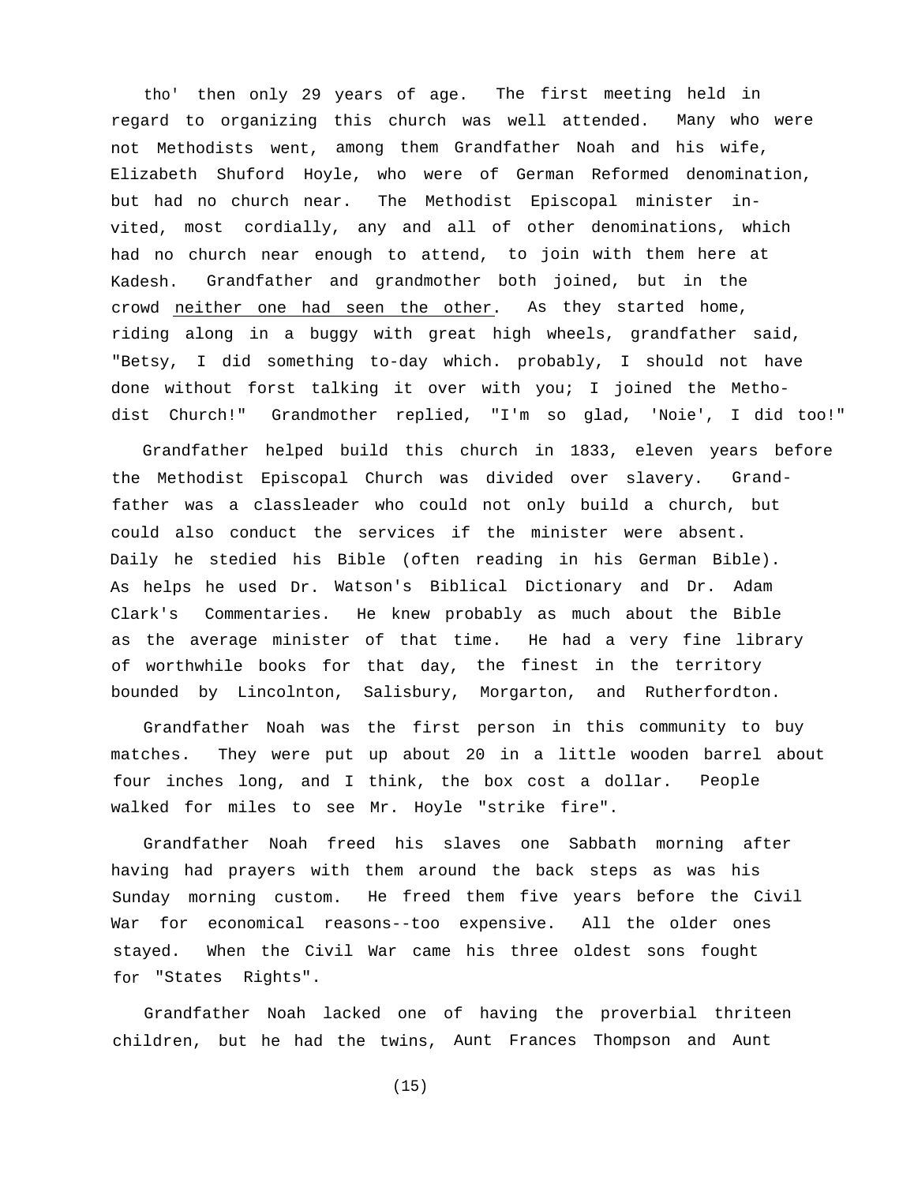tho' then only 29 years of age. The first meeting held in regard to organizing this church was well attended. Many who were not Methodists went, among them Grandfather Noah and his wife, Elizabeth Shuford Hoyle, who were of German Reformed denomination, but had no church near. The Methodist Episcopal minister invited, most cordially, any and all of other denominations, which had no church near enough to attend, to join with them here at Kadesh. Grandfather and grandmother both joined, but in the crowd neither one had seen the other. As they started home, riding along in a buggy with great high wheels, grandfather said, "Betsy, I did something to-day which. probably, I should not have done without forst talking it over with you; I joined the Methodist Church!" Grandmother replied, "I'm so glad, 'Noie', I did too!"

Grandfather helped build this church in 1833, eleven years before the Methodist Episcopal Church was divided over slavery. Grandfather was a classleader who could not only build a church, but could also conduct the services if the minister were absent. Daily he stedied his Bible (often reading in his German Bible). As helps he used Dr. Watson's Biblical Dictionary and Dr. Adam Clark's Commentaries. He knew probably as much about the Bible as the average minister of that time. He had a very fine library of worthwhile books for that day, the finest in the territory bounded by Lincolnton, Salisbury, Morgarton, and Rutherfordton.

Grandfather Noah was the first person in this community to buy matches. They were put up about 20 in a little wooden barrel about four inches long, and I think, the box cost a dollar. People walked for miles to see Mr. Hoyle "strike fire".

Grandfather Noah freed his slaves one Sabbath morning after having had prayers with them around the back steps as was his Sunday morning custom. He freed them five years before the Civil War for economical reasons--too expensive. All the older ones stayed. When the Civil War came his three oldest sons fought for "States Rights".

Grandfather Noah lacked one of having the proverbial thriteen children, but he had the twins, Aunt Frances Thompson and Aunt

(15)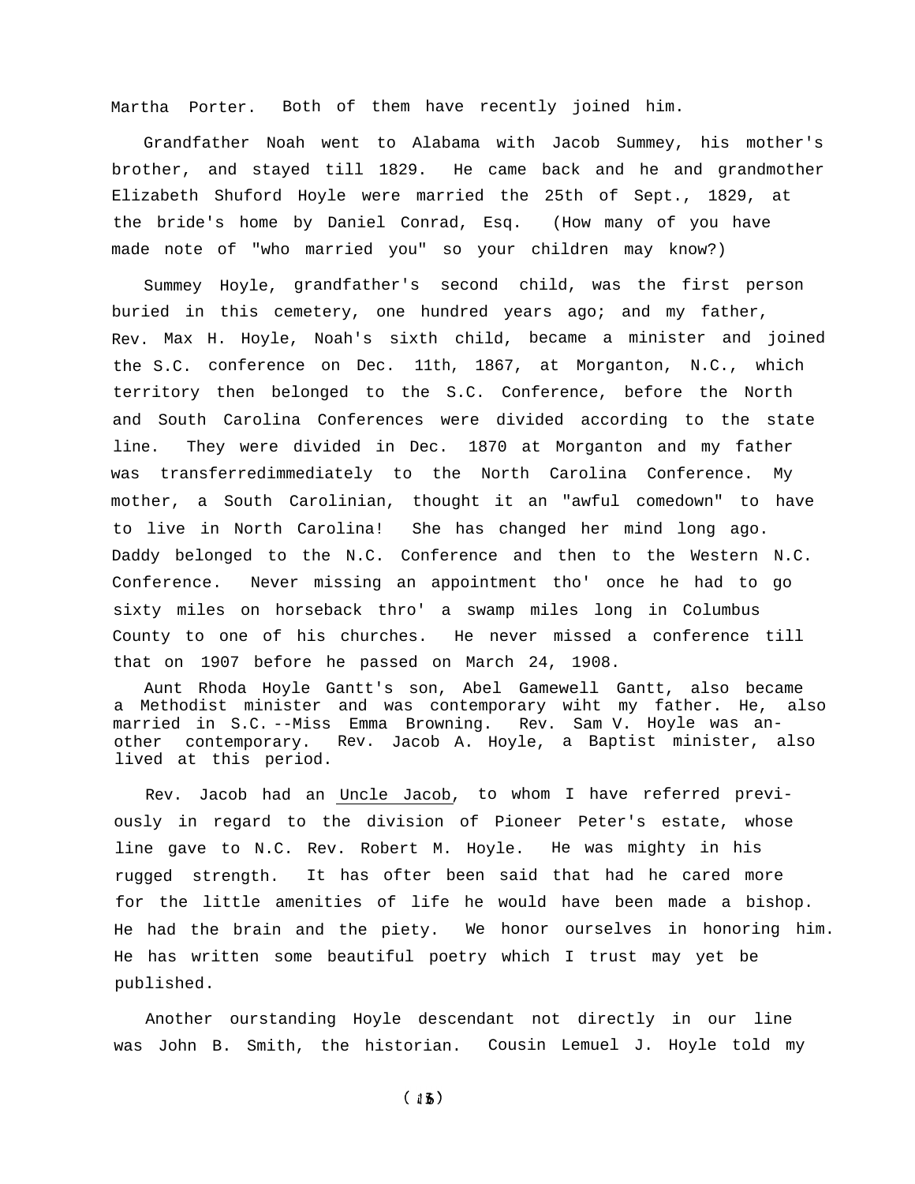Martha Porter. Both of them have recently joined him.

Grandfather Noah went to Alabama with Jacob Summey, his mother's brother, and stayed till 1829. He came back and he and grandmother Elizabeth Shuford Hoyle were married the 25th of Sept., 1829, at the bride's home by Daniel Conrad, Esq. (How many of you have made note of "who married you" so your children may know?)

Summey Hoyle, grandfather's second child, was the first person buried in this cemetery, one hundred years ago; and my father, Rev. Max H. Hoyle, Noah's sixth child, became a minister and joined the S.C. conference on Dec. 11th, 1867, at Morganton, N.C., which territory then belonged to the S.C. Conference, before the North and South Carolina Conferences were divided according to the state line. They were divided in Dec. 1870 at Morganton and my father was transferredimmediately to the North Carolina Conference. My mother, a South Carolinian, thought it an "awful comedown" to have to live in North Carolina! She has changed her mind long ago. Daddy belonged to the N.C. Conference and then to the Western N.C. Conference. Never missing an appointment tho' once he had to go sixty miles on horseback thro' a swamp miles long in Columbus County to one of his churches. He never missed a conference till that on 1907 before he passed on March 24, 1908.

Aunt Rhoda Hoyle Gantt's son, Abel Gamewell Gantt, also became a Methodist minister and was contemporary wiht my father. He, also married in S.C. --Miss Emma Browning. Rev. Sam V. Hoyle was another contemporary. Rev. Jacob A. Hoyle, a Baptist minister, also lived at this period.

Rev. Jacob had an Uncle Jacob, to whom I have referred previously in regard to the division of Pioneer Peter's estate, whose line gave to N.C. Rev. Robert M. Hoyle. He was mighty in his rugged strength. It has ofter been said that had he cared more for the little amenities of life he would have been made a bishop. He had the brain and the piety. We honor ourselves in honoring him. He has written some beautiful poetry which I trust may yet be published.

Another ourstanding Hoyle descendant not directly in our line was John B. Smith, the historian. Cousin Lemuel J. Hoyle told my

 $(15)$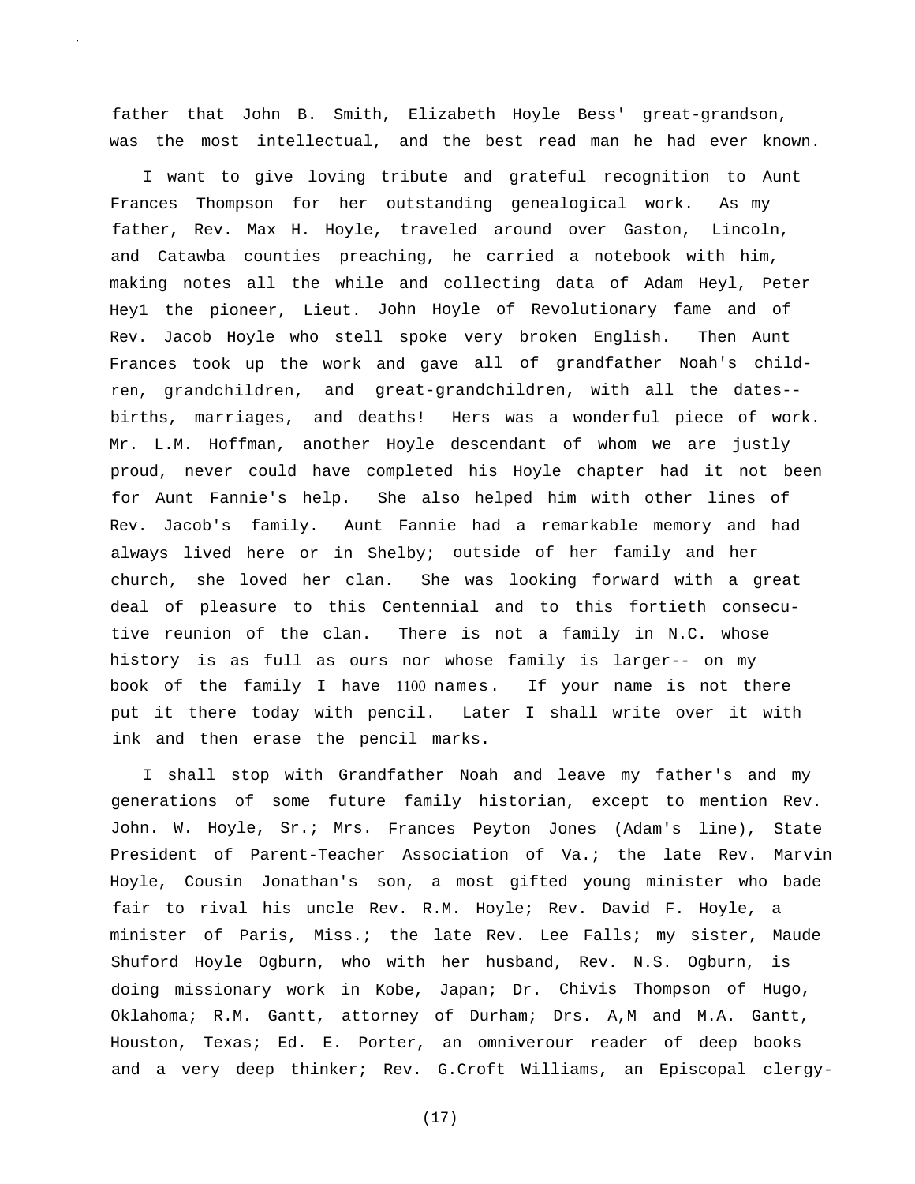father that John B. Smith, Elizabeth Hoyle Bess' great-grandson, was the most intellectual, and the best read man he had ever known.

I want to give loving tribute and grateful recognition to Aunt Frances Thompson for her outstanding genealogical work. As my father, Rev. Max H. Hoyle, traveled around over Gaston, Lincoln, and Catawba counties preaching, he carried a notebook with him, making notes all the while and collecting data of Adam Heyl, Peter Hey1 the pioneer, Lieut. John Hoyle of Revolutionary fame and of Rev. Jacob Hoyle who stell spoke very broken English. Then Aunt Frances took up the work and gave all of grandfather Noah's children, grandchildren, and great-grandchildren, with all the dates- births, marriages, and deaths! Hers was a wonderful piece of work. Mr. L.M. Hoffman, another Hoyle descendant of whom we are justly proud, never could have completed his Hoyle chapter had it not been for Aunt Fannie's help. She also helped him with other lines of Rev. Jacob's family. Aunt Fannie had a remarkable memory and had always lived here or in Shelby; outside of her family and her church, she loved her clan. She was looking forward with a great deal of pleasure to this Centennial and to this fortieth consecutive reunion of the clan. There is not a family in N.C. whose history is as full as ours nor whose family is larger-- on my book of the family I have 1100 names. If your name is not there put it there today with pencil. Later I shall write over it with ink and then erase the pencil marks.

I shall stop with Grandfather Noah and leave my father's and my generations of some future family historian, except to mention Rev. John. W. Hoyle, Sr.; Mrs. Frances Peyton Jones (Adam's line), State President of Parent-Teacher Association of Va.; the late Rev. Marvin Hoyle, Cousin Jonathan's son, a most gifted young minister who bade fair to rival his uncle Rev. R.M. Hoyle; Rev. David F. Hoyle, a minister of Paris, Miss.; the late Rev. Lee Falls; my sister, Maude Shuford Hoyle Ogburn, who with her husband, Rev. N.S. Ogburn, is doing missionary work in Kobe, Japan; Dr. Chivis Thompson of Hugo, Oklahoma; R.M. Gantt, attorney of Durham; Drs. A,M and M.A. Gantt, Houston, Texas; Ed. E. Porter, an omniverour reader of deep books and a very deep thinker; Rev. G.Croft Williams, an Episcopal clergy-

(17)